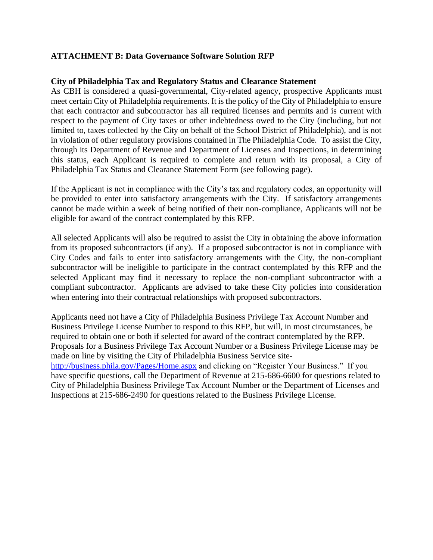## **ATTACHMENT B: Data Governance Software Solution RFP**

## **City of Philadelphia Tax and Regulatory Status and Clearance Statement**

As CBH is considered a quasi-governmental, City-related agency, prospective Applicants must meet certain City of Philadelphia requirements. It is the policy of the City of Philadelphia to ensure that each contractor and subcontractor has all required licenses and permits and is current with respect to the payment of City taxes or other indebtedness owed to the City (including, but not limited to, taxes collected by the City on behalf of the School District of Philadelphia), and is not in violation of other regulatory provisions contained in The Philadelphia Code. To assist the City, through its Department of Revenue and Department of Licenses and Inspections, in determining this status, each Applicant is required to complete and return with its proposal, a City of Philadelphia Tax Status and Clearance Statement Form (see following page).

If the Applicant is not in compliance with the City's tax and regulatory codes, an opportunity will be provided to enter into satisfactory arrangements with the City. If satisfactory arrangements cannot be made within a week of being notified of their non-compliance, Applicants will not be eligible for award of the contract contemplated by this RFP.

All selected Applicants will also be required to assist the City in obtaining the above information from its proposed subcontractors (if any). If a proposed subcontractor is not in compliance with City Codes and fails to enter into satisfactory arrangements with the City, the non-compliant subcontractor will be ineligible to participate in the contract contemplated by this RFP and the selected Applicant may find it necessary to replace the non-compliant subcontractor with a compliant subcontractor. Applicants are advised to take these City policies into consideration when entering into their contractual relationships with proposed subcontractors.

Applicants need not have a City of Philadelphia Business Privilege Tax Account Number and Business Privilege License Number to respond to this RFP, but will, in most circumstances, be required to obtain one or both if selected for award of the contract contemplated by the RFP. Proposals for a Business Privilege Tax Account Number or a Business Privilege License may be made on line by visiting the City of Philadelphia Business Service site<http://business.phila.gov/Pages/Home.aspx> and clicking on "Register Your Business." If you have specific questions, call the Department of Revenue at 215-686-6600 for questions related to City of Philadelphia Business Privilege Tax Account Number or the Department of Licenses and Inspections at 215-686-2490 for questions related to the Business Privilege License.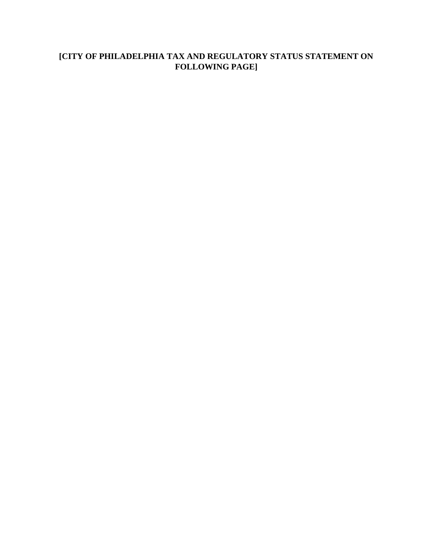# **[CITY OF PHILADELPHIA TAX AND REGULATORY STATUS STATEMENT ON FOLLOWING PAGE]**